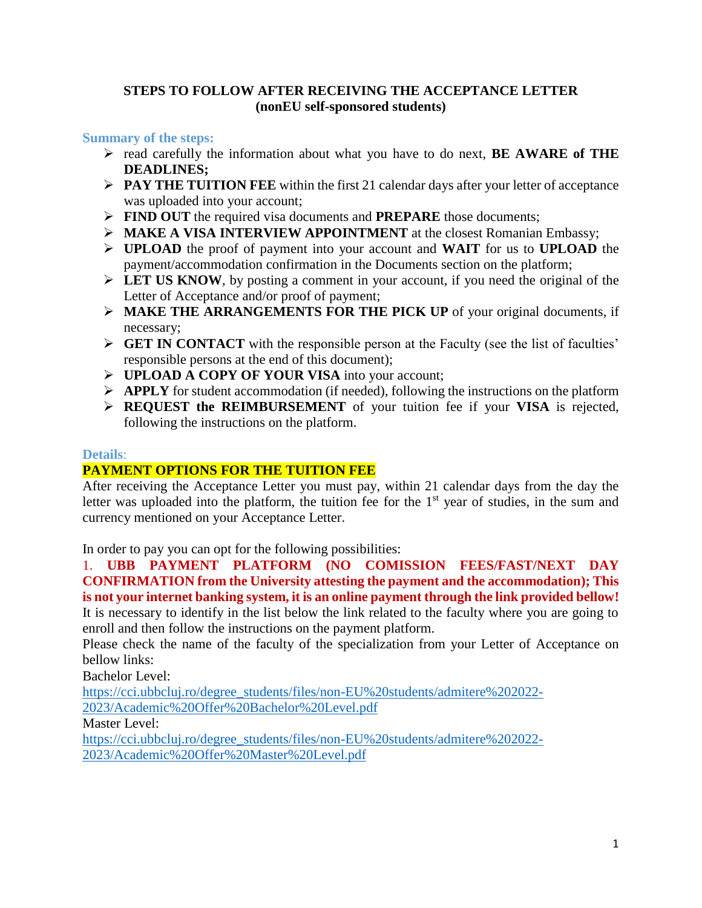### **STEPS TO FOLLOW AFTER RECEIVING THE ACCEPTANCE LETTER (nonEU self-sponsored students)**

### **Summary of the steps:**

- read carefully the information about what you have to do next, **BE AWARE of THE DEADLINES;**
- **PAY THE TUITION FEE** within the first 21 calendar days after your letter of acceptance was uploaded into your account;
- **FIND OUT** the required visa documents and **PREPARE** those documents;
- **MAKE A VISA INTERVIEW APPOINTMENT** at the closest Romanian Embassy;
- **UPLOAD** the proof of payment into your account and **WAIT** for us to **UPLOAD** the payment/accommodation confirmation in the Documents section on the platform;
- **LET US KNOW**, by posting a comment in your account, if you need the original of the Letter of Acceptance and/or proof of payment;
- **MAKE THE ARRANGEMENTS FOR THE PICK UP** of your original documents, if necessary;
- **GET IN CONTACT** with the responsible person at the Faculty (see the list of faculties' responsible persons at the end of this document);
- **EXECUTE:** UPLOAD A COPY OF YOUR VISA into your account;
- **APPLY** for student accommodation (if needed), following the instructions on the platform
- **REQUEST the REIMBURSEMENT** of your tuition fee if your **VISA** is rejected, following the instructions on the platform.

### **Details**:

### **PAYMENT OPTIONS FOR THE TUITION FEE**

After receiving the Acceptance Letter you must pay, within 21 calendar days from the day the letter was uploaded into the platform, the tuition fee for the  $1<sup>st</sup>$  year of studies, in the sum and currency mentioned on your Acceptance Letter.

In order to pay you can opt for the following possibilities:

1. **UBB PAYMENT PLATFORM (NO COMISSION FEES/FAST/NEXT DAY CONFIRMATION from the University attesting the payment and the accommodation); This is not your internet banking system, it is an online payment through the link provided bellow!** It is necessary to identify in the list below the link related to the faculty where you are going to enroll and then follow the instructions on the payment platform.

Please check the name of the faculty of the specialization from your Letter of Acceptance on bellow links:

Bachelor Level:

[https://cci.ubbcluj.ro/degree\\_students/files/non-EU%20students/admitere%202022-](https://cci.ubbcluj.ro/degree_students/files/non-EU%20students/admitere%202022-2023/Academic%20Offer%20Bachelor%20Level.pdf) [2023/Academic%20Offer%20Bachelor%20Level.pdf](https://cci.ubbcluj.ro/degree_students/files/non-EU%20students/admitere%202022-2023/Academic%20Offer%20Bachelor%20Level.pdf)

Master Level:

[https://cci.ubbcluj.ro/degree\\_students/files/non-EU%20students/admitere%202022-](https://cci.ubbcluj.ro/degree_students/files/non-EU%20students/admitere%202022-2023/Academic%20Offer%20Master%20Level.pdf) [2023/Academic%20Offer%20Master%20Level.pdf](https://cci.ubbcluj.ro/degree_students/files/non-EU%20students/admitere%202022-2023/Academic%20Offer%20Master%20Level.pdf)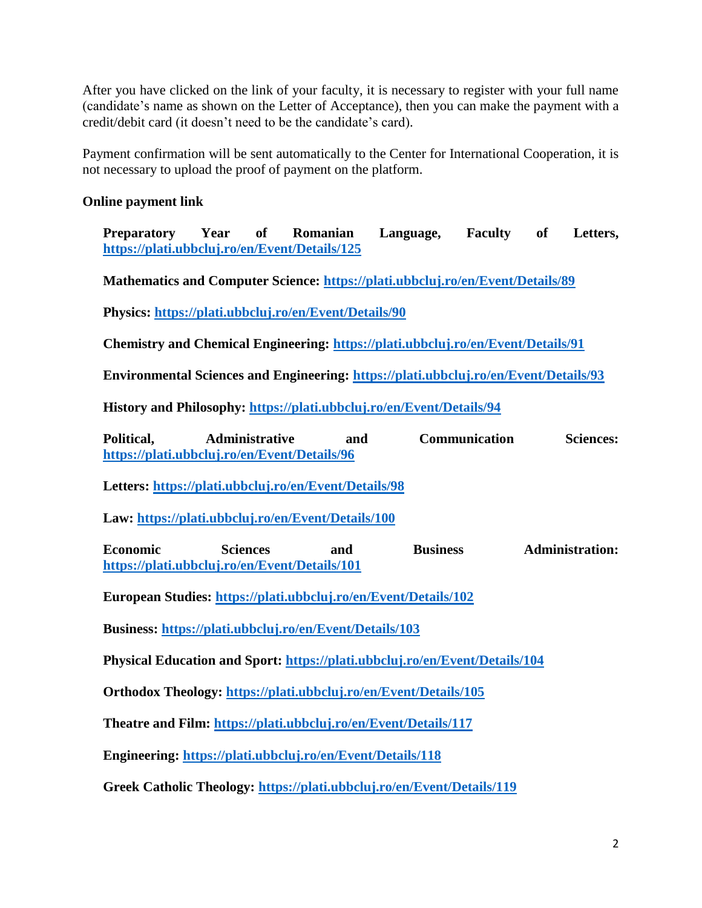After you have clicked on the link of your faculty, it is necessary to register with your full name (candidate's name as shown on the Letter of Acceptance), then you can make the payment with a credit/debit card (it doesn't need to be the candidate's card).

Payment confirmation will be sent automatically to the Center for International Cooperation, it is not necessary to upload the proof of payment on the platform.

### **Online payment link**

**Preparatory Year of Romanian Language, Faculty of Letters, <https://plati.ubbcluj.ro/en/Event/Details/125>**

**Mathematics and Computer Science:<https://plati.ubbcluj.ro/en/Event/Details/89>**

**Physics:<https://plati.ubbcluj.ro/en/Event/Details/90>**

**Chemistry and Chemical Engineering:<https://plati.ubbcluj.ro/en/Event/Details/91>**

**Environmental Sciences and Engineering:<https://plati.ubbcluj.ro/en/Event/Details/93>**

**History and Philosophy:<https://plati.ubbcluj.ro/en/Event/Details/94>**

**Political, Administrative and Communication Sciences: <https://plati.ubbcluj.ro/en/Event/Details/96>**

**Letters:<https://plati.ubbcluj.ro/en/Event/Details/98>**

**Law:<https://plati.ubbcluj.ro/en/Event/Details/100>**

**Economic Sciences and Business Administration: <https://plati.ubbcluj.ro/en/Event/Details/101>**

**European Studies:<https://plati.ubbcluj.ro/en/Event/Details/102>**

**Business:<https://plati.ubbcluj.ro/en/Event/Details/103>**

**Physical Education and Sport:<https://plati.ubbcluj.ro/en/Event/Details/104>**

**Orthodox Theology:<https://plati.ubbcluj.ro/en/Event/Details/105>**

**Theatre and Film:<https://plati.ubbcluj.ro/en/Event/Details/117>**

**Engineering:<https://plati.ubbcluj.ro/en/Event/Details/118>**

**Greek Catholic Theology:<https://plati.ubbcluj.ro/en/Event/Details/119>**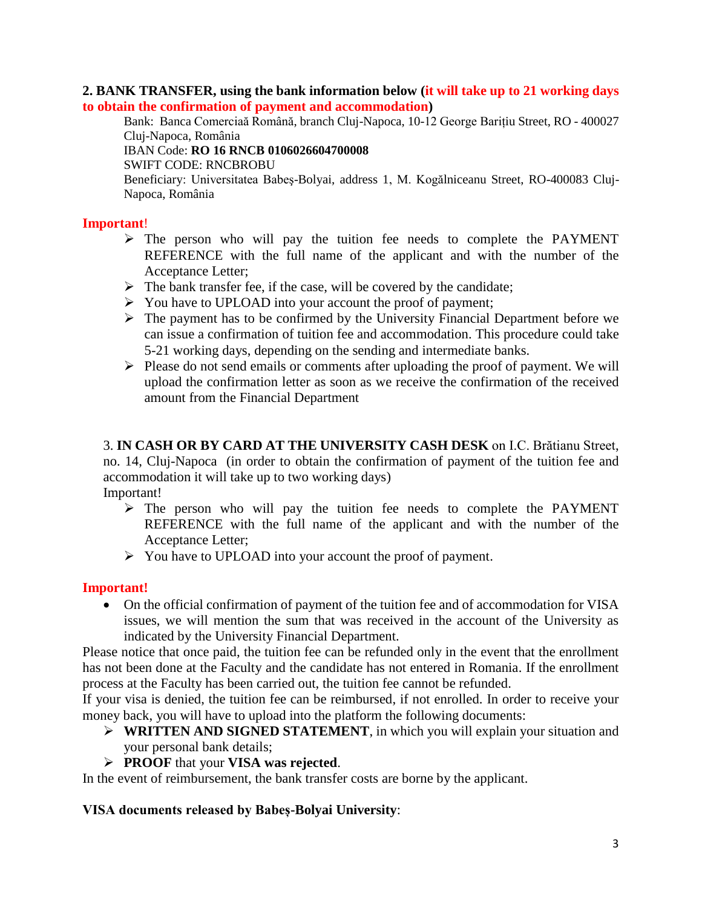### **2. BANK TRANSFER, using the bank information below (it will take up to 21 working days to obtain the confirmation of payment and accommodation)**

Bank: Banca Comerciaă Română, branch Cluj-Napoca, 10-12 George Barițiu Street, RO - 400027 Cluj-Napoca, România

#### IBAN Code: **RO 16 RNCB 0106026604700008**

SWIFT CODE: RNCBROBU

Beneficiary: Universitatea Babeş-Bolyai, address 1, M. Kogălniceanu Street, RO-400083 Cluj-Napoca, România

### **Important**!

- $\triangleright$  The person who will pay the tuition fee needs to complete the PAYMENT REFERENCE with the full name of the applicant and with the number of the Acceptance Letter;
- $\triangleright$  The bank transfer fee, if the case, will be covered by the candidate;
- You have to UPLOAD into your account the proof of payment;
- $\triangleright$  The payment has to be confirmed by the University Financial Department before we can issue a confirmation of tuition fee and accommodation. This procedure could take 5-21 working days, depending on the sending and intermediate banks.
- $\triangleright$  Please do not send emails or comments after uploading the proof of payment. We will upload the confirmation letter as soon as we receive the confirmation of the received amount from the Financial Department

3. **IN CASH OR BY CARD AT THE UNIVERSITY CASH DESK** on I.C. Brătianu Street, no. 14, Cluj-Napoca (in order to obtain the confirmation of payment of the tuition fee and accommodation it will take up to two working days) Important!

- $\triangleright$  The person who will pay the tuition fee needs to complete the PAYMENT REFERENCE with the full name of the applicant and with the number of the Acceptance Letter;
- You have to UPLOAD into your account the proof of payment.

#### **Important!**

 On the official confirmation of payment of the tuition fee and of accommodation for VISA issues, we will mention the sum that was received in the account of the University as indicated by the University Financial Department.

Please notice that once paid, the tuition fee can be refunded only in the event that the enrollment has not been done at the Faculty and the candidate has not entered in Romania. If the enrollment process at the Faculty has been carried out, the tuition fee cannot be refunded.

If your visa is denied, the tuition fee can be reimbursed, if not enrolled. In order to receive your money back, you will have to upload into the platform the following documents:

- **WRITTEN AND SIGNED STATEMENT**, in which you will explain your situation and your personal bank details;
- **PROOF** that your **VISA was rejected**.

In the event of reimbursement, the bank transfer costs are borne by the applicant.

### **VISA documents released by Babeș-Bolyai University**: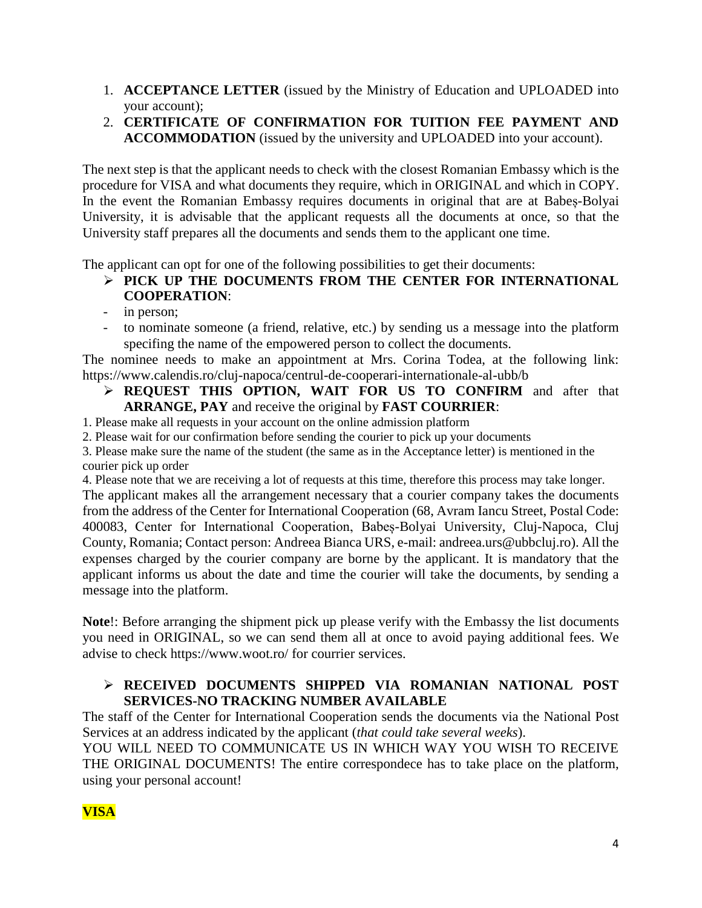- 1. **ACCEPTANCE LETTER** (issued by the Ministry of Education and UPLOADED into your account);
- 2. **CERTIFICATE OF CONFIRMATION FOR TUITION FEE PAYMENT AND ACCOMMODATION** (issued by the university and UPLOADED into your account).

The next step is that the applicant needs to check with the closest Romanian Embassy which is the procedure for VISA and what documents they require, which in ORIGINAL and which in COPY. In the event the Romanian Embassy requires documents in original that are at Babeș-Bolyai University, it is advisable that the applicant requests all the documents at once, so that the University staff prepares all the documents and sends them to the applicant one time.

The applicant can opt for one of the following possibilities to get their documents:

- **PICK UP THE DOCUMENTS FROM THE CENTER FOR INTERNATIONAL COOPERATION**:
- in person;
- to nominate someone (a friend, relative, etc.) by sending us a message into the platform specifing the name of the empowered person to collect the documents.

The nominee needs to make an appointment at Mrs. Corina Todea, at the following link: <https://www.calendis.ro/cluj-napoca/centrul-de-cooperari-internationale-al-ubb/b>

- **REQUEST THIS OPTION, WAIT FOR US TO CONFIRM** and after that **ARRANGE, PAY** and receive the original by **FAST COURRIER**:
- 1. Please make all requests in your account on the online admission platform
- 2. Please wait for our confirmation before sending the courier to pick up your documents

3. Please make sure the name of the student (the same as in the Acceptance letter) is mentioned in the courier pick up order

4. Please note that we are receiving a lot of requests at this time, therefore this process may take longer.

The applicant makes all the arrangement necessary that a courier company takes the documents from the address of the Center for International Cooperation (68, Avram Iancu Street, Postal Code: 400083, Center for International Cooperation, Babeș-Bolyai University, Cluj-Napoca, Cluj County, Romania; Contact person: Andreea Bianca URS, e-mail: andreea.urs@ubbcluj.ro). All the expenses charged by the courier company are borne by the applicant. It is mandatory that the applicant informs us about the date and time the courier will take the documents, by sending a message into the platform.

**Note**!: Before arranging the shipment pick up please verify with the Embassy the list documents you need in ORIGINAL, so we can send them all at once to avoid paying additional fees. We advise to check<https://www.woot.ro/> for courrier services.

# **RECEIVED DOCUMENTS SHIPPED VIA ROMANIAN NATIONAL POST SERVICES-NO TRACKING NUMBER AVAILABLE**

The staff of the Center for International Cooperation sends the documents via the National Post Services at an address indicated by the applicant (*that could take several weeks*).

YOU WILL NEED TO COMMUNICATE US IN WHICH WAY YOU WISH TO RECEIVE THE ORIGINAL DOCUMENTS! The entire correspondece has to take place on the platform, using your personal account!

# **VISA**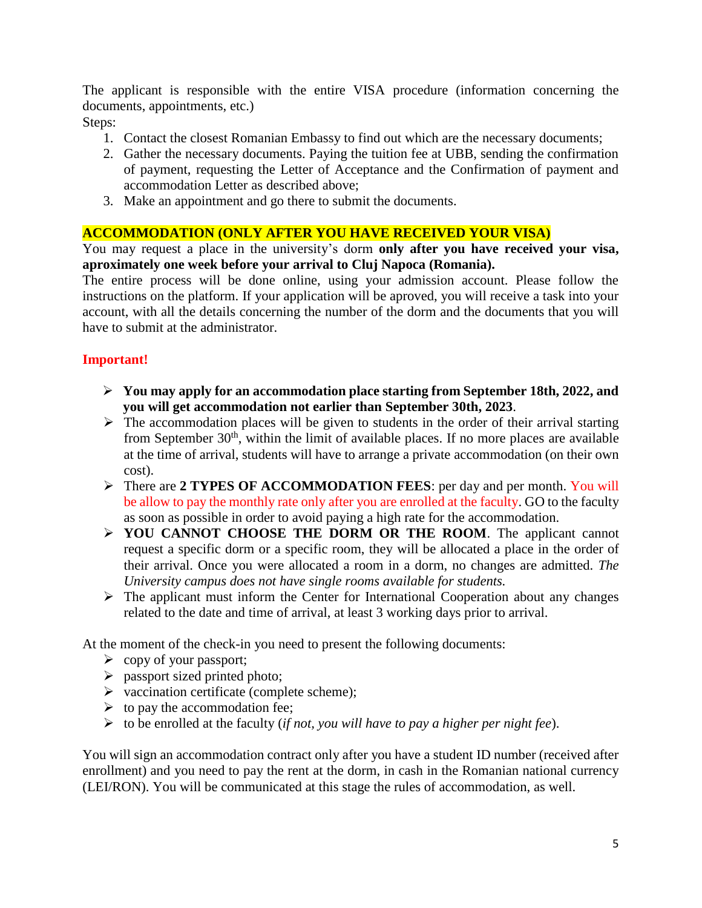The applicant is responsible with the entire VISA procedure (information concerning the documents, appointments, etc.)

Steps:

- 1. Contact the closest Romanian Embassy to find out which are the necessary documents;
- 2. Gather the necessary documents. Paying the tuition fee at UBB, sending the confirmation of payment, requesting the Letter of Acceptance and the Confirmation of payment and accommodation Letter as described above;
- 3. Make an appointment and go there to submit the documents.

### **ACCOMMODATION (ONLY AFTER YOU HAVE RECEIVED YOUR VISA)**

You may request a place in the university's dorm **only after you have received your visa, aproximately one week before your arrival to Cluj Napoca (Romania).** 

The entire process will be done online, using your admission account. Please follow the instructions on the platform. If your application will be aproved, you will receive a task into your account, with all the details concerning the number of the dorm and the documents that you will have to submit at the administrator.

# **Important!**

- **You may apply for an accommodation place starting from September 18th, 2022, and you will get accommodation not earlier than September 30th, 2023**.
- $\triangleright$  The accommodation places will be given to students in the order of their arrival starting from September  $30<sup>th</sup>$ , within the limit of available places. If no more places are available at the time of arrival, students will have to arrange a private accommodation (on their own cost).
- There are **2 TYPES OF ACCOMMODATION FEES**: per day and per month. You will be allow to pay the monthly rate only after you are enrolled at the faculty. GO to the faculty as soon as possible in order to avoid paying a high rate for the accommodation.
- **YOU CANNOT CHOOSE THE DORM OR THE ROOM**. The applicant cannot request a specific dorm or a specific room, they will be allocated a place in the order of their arrival. Once you were allocated a room in a dorm, no changes are admitted. *The University campus does not have single rooms available for students.*
- $\triangleright$  The applicant must inform the Center for International Cooperation about any changes related to the date and time of arrival, at least 3 working days prior to arrival.

At the moment of the check-in you need to present the following documents:

- $\triangleright$  copy of your passport;
- $\triangleright$  passport sized printed photo;
- $\triangleright$  vaccination certificate (complete scheme);
- $\triangleright$  to pay the accommodation fee;
- to be enrolled at the faculty (*if not, you will have to pay a higher per night fee*).

You will sign an accommodation contract only after you have a student ID number (received after enrollment) and you need to pay the rent at the dorm, in cash in the Romanian national currency (LEI/RON). You will be communicated at this stage the rules of accommodation, as well.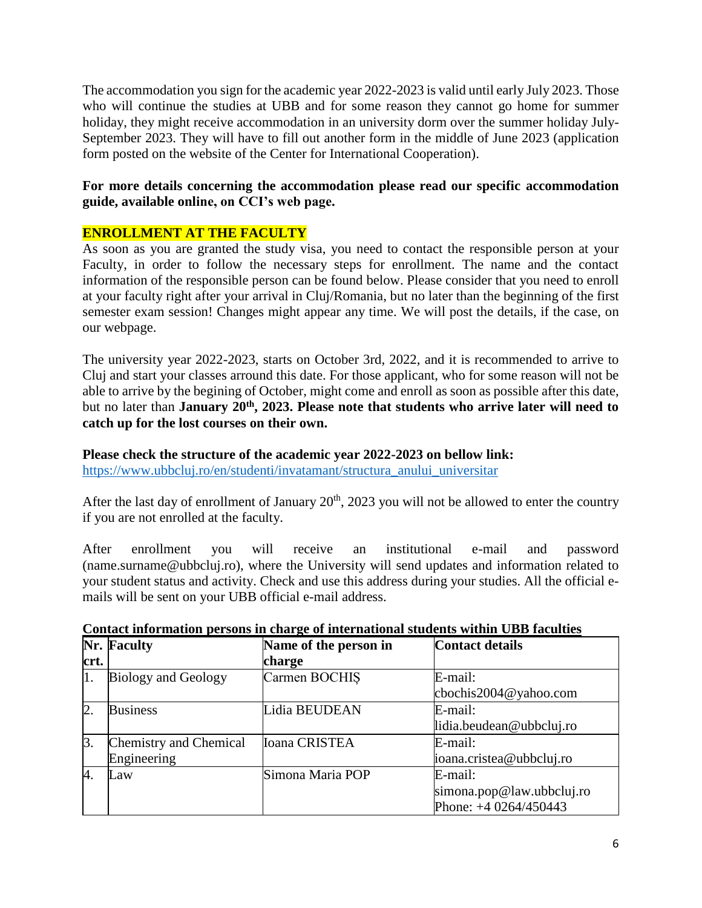The accommodation you sign for the academic year 2022-2023 is valid until early July 2023. Those who will continue the studies at UBB and for some reason they cannot go home for summer holiday, they might receive accommodation in an university dorm over the summer holiday July-September 2023. They will have to fill out another form in the middle of June 2023 (application form posted on the website of the Center for International Cooperation).

### **For more details concerning the accommodation please read our specific accommodation guide, available online, on CCI's web page.**

### **ENROLLMENT AT THE FACULTY**

As soon as you are granted the study visa, you need to contact the responsible person at your Faculty, in order to follow the necessary steps for enrollment. The name and the contact information of the responsible person can be found below. Please consider that you need to enroll at your faculty right after your arrival in Cluj/Romania, but no later than the beginning of the first semester exam session! Changes might appear any time. We will post the details, if the case, on our webpage.

The university year 2022-2023, starts on October 3rd, 2022, and it is recommended to arrive to Cluj and start your classes arround this date. For those applicant, who for some reason will not be able to arrive by the begining of October, might come and enroll as soon as possible after this date, but no later than **January 20th, 2023. Please note that students who arrive later will need to catch up for the lost courses on their own.** 

#### **Please check the structure of the academic year 2022-2023 on bellow link:**

[https://www.ubbcluj.ro/en/studenti/invatamant/structura\\_anului\\_universitar](https://www.ubbcluj.ro/en/studenti/invatamant/structura_anului_universitar)

After the last day of enrollment of January  $20<sup>th</sup>$ , 2023 you will not be allowed to enter the country if you are not enrolled at the faculty.

After enrollment you will receive an institutional e-mail and password (name.surname@ubbcluj.ro), where the University will send updates and information related to your student status and activity. Check and use this address during your studies. All the official emails will be sent on your UBB official e-mail address.

| crt.             | <b>Nr. Faculty</b>                    | Name of the person in<br>charge | <b>Contact details</b>                                            |
|------------------|---------------------------------------|---------------------------------|-------------------------------------------------------------------|
| 11 .             | <b>Biology and Geology</b>            | Carmen BOCHIS                   | E-mail:<br>cbochis2004@yahoo.com                                  |
| $\overline{2}$   | <b>Business</b>                       | Lidia BEUDEAN                   | E-mail:<br>lidia.beudean@ubbcluj.ro                               |
| $\beta$ .        | Chemistry and Chemical<br>Engineering | Ioana CRISTEA                   | E-mail:<br>ioana.cristea@ubbcluj.ro                               |
| $\overline{A}$ . | Law                                   | Simona Maria POP                | E-mail:<br>$\sin$ ona.pop@law.ubbcluj.ro<br>Phone: +4 0264/450443 |

#### **Contact information persons in charge of international students within UBB faculties**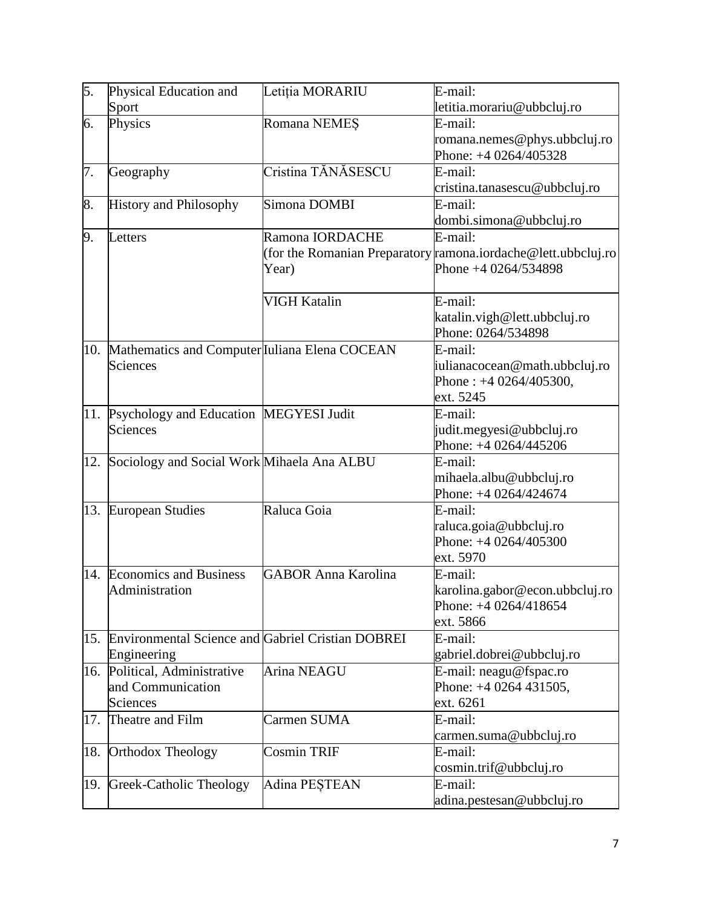| 5.  | Physical Education and                                | Letiția MORARIU            | E-mail:                                                       |
|-----|-------------------------------------------------------|----------------------------|---------------------------------------------------------------|
|     | Sport                                                 |                            | letitia.morariu@ubbcluj.ro                                    |
| 6.  | Physics                                               | Romana NEMES               | E-mail:                                                       |
|     |                                                       |                            | romana.nemes@phys.ubbcluj.ro                                  |
|     |                                                       |                            | Phone: +4 0264/405328                                         |
| 7.  | Geography                                             | Cristina TĂNĂSESCU         | E-mail:                                                       |
|     |                                                       |                            | cristina.tanasescu@ubbcluj.ro                                 |
| 8.  | <b>History and Philosophy</b>                         | Simona DOMBI               | E-mail:                                                       |
|     |                                                       |                            | dombi.simona@ubbcluj.ro                                       |
| 9.  | Letters                                               | Ramona IORDACHE            | E-mail:                                                       |
|     |                                                       |                            | (for the Romanian Preparatory ramona.iordache@lett.ubbcluj.ro |
|     |                                                       | Year)                      | Phone +4 0264/534898                                          |
|     |                                                       |                            |                                                               |
|     |                                                       | VIGH Katalin               | E-mail:                                                       |
|     |                                                       |                            | katalin.vigh@lett.ubbcluj.ro                                  |
|     |                                                       |                            | Phone: 0264/534898                                            |
|     | 10. Mathematics and Computer Iuliana Elena COCEAN     |                            | E-mail:                                                       |
|     | Sciences                                              |                            | julianacocean@math.ubbcluj.ro                                 |
|     |                                                       |                            | Phone: $+40264/405300$ ,                                      |
|     |                                                       |                            | ext. 5245                                                     |
| 11. | Psychology and Education MEGYESI Judit                |                            | E-mail:                                                       |
|     | Sciences                                              |                            | judit.megyesi@ubbcluj.ro                                      |
|     |                                                       |                            | Phone: +4 0264/445206                                         |
| 12. | Sociology and Social Work Mihaela Ana ALBU            |                            | E-mail:                                                       |
|     |                                                       |                            | mihaela.albu@ubbcluj.ro                                       |
|     |                                                       |                            | Phone: +4 0264/424674                                         |
|     | 13. European Studies                                  | Raluca Goia                | E-mail:                                                       |
|     |                                                       |                            | raluca.goia@ubbcluj.ro<br>Phone: +4 0264/405300               |
|     |                                                       |                            | ext. 5970                                                     |
|     | 14. Economics and Business                            | <b>GABOR Anna Karolina</b> | E-mail:                                                       |
|     | Administration                                        |                            | karolina.gabor@econ.ubbcluj.ro                                |
|     |                                                       |                            | Phone: $+40264/418654$                                        |
|     |                                                       |                            | ext. 5866                                                     |
|     | 15. Environmental Science and Gabriel Cristian DOBREI |                            | E-mail:                                                       |
|     | Engineering                                           |                            | gabriel.dobrei@ubbcluj.ro                                     |
|     | 16. Political, Administrative                         | Arina NEAGU                | E-mail: neagu@fspac.ro                                        |
|     | and Communication                                     |                            | Phone: $+40264431505$ ,                                       |
|     | Sciences                                              |                            | ext. 6261                                                     |
| 17. | Theatre and Film                                      | Carmen SUMA                | E-mail:                                                       |
|     |                                                       |                            | carmen.suma@ubbcluj.ro                                        |
| 18. | <b>Orthodox Theology</b>                              | <b>Cosmin TRIF</b>         | E-mail:                                                       |
|     |                                                       |                            | cosmin.trif@ubbcluj.ro                                        |
| 19. | Greek-Catholic Theology                               | Adina PEȘTEAN              | E-mail:                                                       |
|     |                                                       |                            | adina.pestesan@ubbcluj.ro                                     |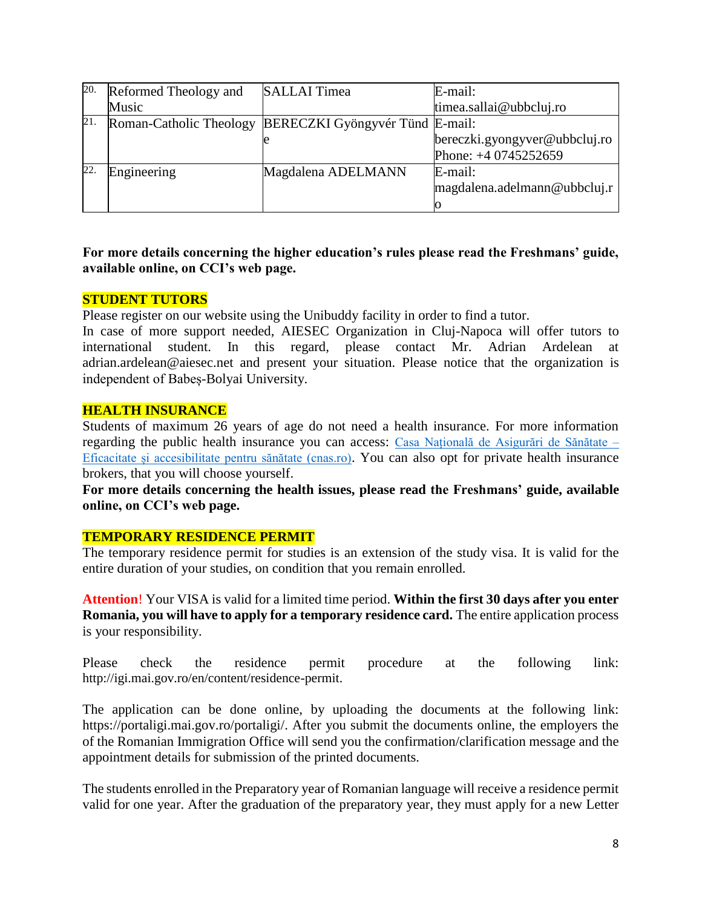| 20. | Reformed Theology and | <b>SALLAI</b> Timea                                     | E-mail:                       |
|-----|-----------------------|---------------------------------------------------------|-------------------------------|
|     | Music                 |                                                         | timea.sallai@ubbcluj.ro       |
| 21. |                       | Roman-Catholic Theology BERECZKI Gyöngyvér Tünd E-mail: |                               |
|     |                       |                                                         | bereczki.gyongyver@ubbcluj.ro |
|     |                       |                                                         | Phone: +4 0745252659          |
| 22. | Engineering           | Magdalena ADELMANN                                      | E-mail:                       |
|     |                       |                                                         | magdalena.adelmann@ubbcluj.r  |
|     |                       |                                                         |                               |

### **For more details concerning the higher education's rules please read the Freshmans' guide, available online, on CCI's web page.**

#### **STUDENT TUTORS**

Please register on our website using the Unibuddy facility in order to find a tutor.

In case of more support needed, AIESEC Organization in Cluj-Napoca will offer tutors to international student. In this regard, please contact Mr. Adrian Ardelean at adrian.ardelean@aiesec.net and present your situation. Please notice that the organization is independent of Babeș-Bolyai University.

#### **HEALTH INSURANCE**

Students of maximum 26 years of age do not need a health insurance. For more information regarding the public health insurance you can access: [Casa Națională de Asigurări de Sănătate –](https://cnas.ro/) [Eficacitate și accesibilitate pentru sănătate \(cnas.ro\)](https://cnas.ro/). You can also opt for private health insurance brokers, that you will choose yourself.

**For more details concerning the health issues, please read the Freshmans' guide, available online, on CCI's web page.** 

#### **TEMPORARY RESIDENCE PERMIT**

The temporary residence permit for studies is an extension of the study visa. It is valid for the entire duration of your studies, on condition that you remain enrolled.

**Attention**! Your VISA is valid for a limited time period. **Within the first 30 days after you enter Romania, you will have to apply for a temporary residence card.** The entire application process is your responsibility.

Please check the residence permit procedure at the following link: [http://igi.mai.gov.ro/en/content/residence-permit.](http://igi.mai.gov.ro/en/content/residence-permit?fbclid=IwAR0UWoc5zjctES20EY0B90DIn_5ttumbSfZR9ZBWgdy06I2PJA2l96glMPg)

The application can be done online, by uploading the documents at the following link: [https://portaligi.mai.gov.ro/portaligi/.](https://portaligi.mai.gov.ro/portaligi/) After you submit the documents online, the employers the of the Romanian Immigration Office will send you the confirmation/clarification message and the appointment details for submission of the printed documents.

The students enrolled in the Preparatory year of Romanian language will receive a residence permit valid for one year. After the graduation of the preparatory year, they must apply for a new Letter